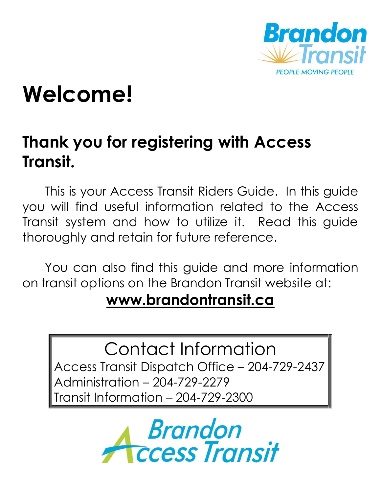

# **Welcome!**

# **Thank you for registering with Access Transit.**

This is your Access Transit Riders Guide. In this guide you will find useful information related to the Access Transit system and how to utilize it. Read this guide thoroughly and retain for future reference.

You can also find this guide and more information on transit options on the Brandon Transit website at:

# **[www.brandontransit.ca](http://www.brandontransit.ca/)**

Contact Information Access Transit Dispatch Office – 204-729-2437 Administration – 204-729-2279 Transit Information – 204-729-2300

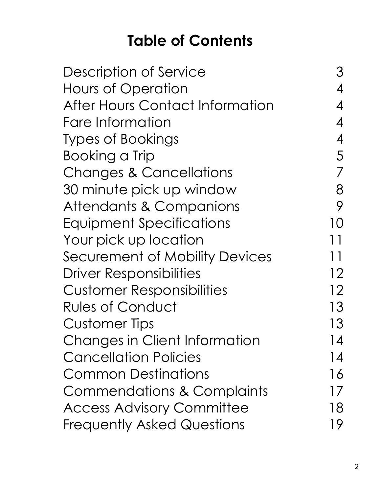# **Table of Contents**

| Description of Service                 |               |
|----------------------------------------|---------------|
| <b>Hours of Operation</b>              |               |
| <b>After Hours Contact Information</b> |               |
| Fare Information                       | 4             |
| <b>Types of Bookings</b>               | 4             |
| <b>Booking a Trip</b>                  | 5             |
| <b>Changes &amp; Cancellations</b>     |               |
| 30 minute pick up window               | 8             |
| Attendants & Companions                | 9             |
| Equipment Specifications               | 10            |
| Your pick up location                  | 11            |
| Securement of Mobility Devices         | 11            |
| <b>Driver Responsibilities</b>         | 12            |
| <b>Customer Responsibilities</b>       | 12            |
| <b>Rules of Conduct</b>                | 13            |
| <b>Customer Tips</b>                   | 13            |
| <b>Changes in Client Information</b>   | 14            |
| <b>Cancellation Policies</b>           | 14            |
| <b>Common Destinations</b>             | 16            |
| <b>Commendations &amp; Complaints</b>  | $\frac{1}{2}$ |
| <b>Access Advisory Committee</b>       | 18            |
| <b>Frequently Asked Questions</b>      | 19            |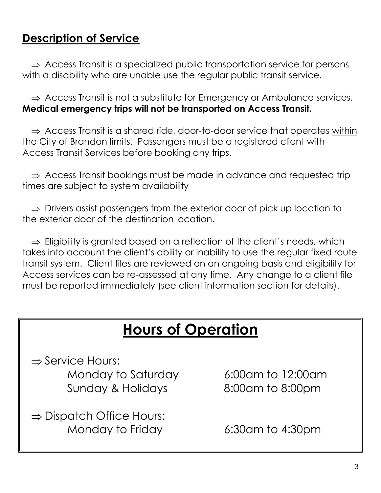### **Description of Service**

 $\Rightarrow$  Access Transit is a specialized public transportation service for persons with a disability who are unable use the regular public transit service.

 $\Rightarrow$  Access Transit is not a substitute for Emergency or Ambulance services. **Medical emergency trips will not be transported on Access Transit.**

 $\Rightarrow$  Access Transit is a shared ride, door-to-door service that operates within the City of Brandon limits. Passengers must be a registered client with Access Transit Services before booking any trips.

 $\Rightarrow$  Access Transit bookings must be made in advance and requested trip times are subject to system availability

 $\Rightarrow$  Drivers assist passengers from the exterior door of pick up location to the exterior door of the destination location.

 $\Rightarrow$  Eligibility is granted based on a reflection of the client's needs, which takes into account the client's ability or inability to use the regular fixed route transit system. Client files are reviewed on an ongoing basis and eligibility for Access services can be re-assessed at any time. Any change to a client file must be reported immediately (see client information section for details).

# **Hours of Operation**

 $\Rightarrow$  Service Hours:

Monday to Saturday 6:00am to 12:00am Sunday & Holidays 8:00am to 8:00pm

 $\Rightarrow$  Dispatch Office Hours: Monday to Friday 6:30am to 4:30pm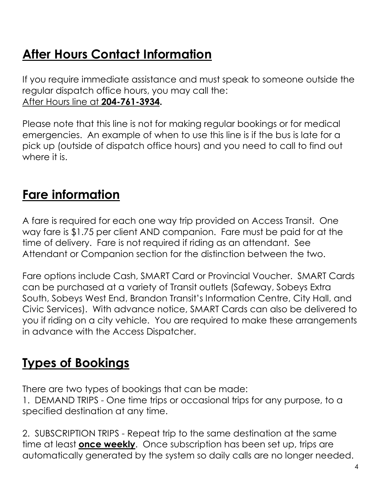# **After Hours Contact Information**

If you require immediate assistance and must speak to someone outside the regular dispatch office hours, you may call the: After Hours line at **204-761-3934.** 

Please note that this line is not for making regular bookings or for medical emergencies. An example of when to use this line is if the bus is late for a pick up (outside of dispatch office hours) and you need to call to find out where it is.

# **Fare information**

A fare is required for each one way trip provided on Access Transit. One way fare is \$1.75 per client AND companion. Fare must be paid for at the time of delivery. Fare is not required if riding as an attendant. See Attendant or Companion section for the distinction between the two.

Fare options include Cash, SMART Card or Provincial Voucher. SMART Cards can be purchased at a variety of Transit outlets (Safeway, Sobeys Extra South, Sobeys West End, Brandon Transit's Information Centre, City Hall, and Civic Services). With advance notice, SMART Cards can also be delivered to you if riding on a city vehicle. You are required to make these arrangements in advance with the Access Dispatcher.

# **Types of Bookings**

There are two types of bookings that can be made:

1. DEMAND TRIPS - One time trips or occasional trips for any purpose, to a specified destination at any time.

2. SUBSCRIPTION TRIPS - Repeat trip to the same destination at the same time at least **once weekly**. Once subscription has been set up, trips are automatically generated by the system so daily calls are no longer needed.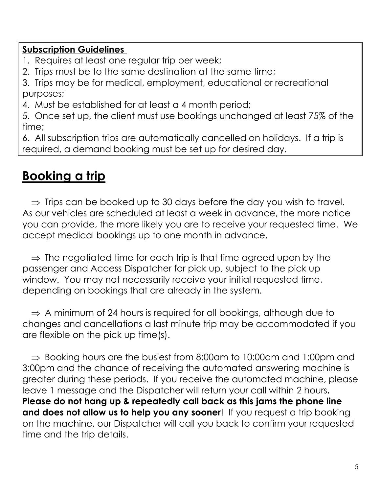#### **Subscription Guidelines**

1. Requires at least one regular trip per week;

2. Trips must be to the same destination at the same time;

3. Trips may be for medical, employment, educational or recreational purposes;

4. Must be established for at least a 4 month period;

5. Once set up, the client must use bookings unchanged at least 75% of the time;

6. All subscription trips are automatically cancelled on holidays. If a trip is required, a demand booking must be set up for desired day.

# **Booking a trip**

 $\Rightarrow$  Trips can be booked up to 30 days before the day you wish to travel. As our vehicles are scheduled at least a week in advance, the more notice you can provide, the more likely you are to receive your requested time. We accept medical bookings up to one month in advance.

 $\Rightarrow$  The negotiated time for each trip is that time agreed upon by the passenger and Access Dispatcher for pick up, subject to the pick up window. You may not necessarily receive your initial requested time, depending on bookings that are already in the system.

 $\Rightarrow$  A minimum of 24 hours is required for all bookings, although due to changes and cancellations a last minute trip may be accommodated if you are flexible on the pick up time(s).

 $\Rightarrow$  Booking hours are the busiest from 8:00am to 10:00am and 1:00pm and 3:00pm and the chance of receiving the automated answering machine is greater during these periods. If you receive the automated machine, please leave 1 message and the Dispatcher will return your call within 2 hours**. Please do not hang up & repeatedly call back as this jams the phone line and does not allow us to help you any sooner**! If you request a trip booking on the machine, our Dispatcher will call you back to confirm your requested time and the trip details.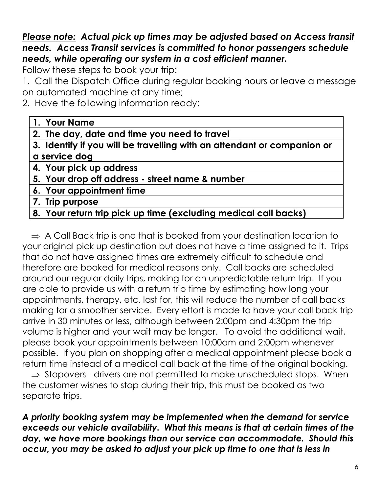#### *Please note: Actual pick up times may be adjusted based on Access transit needs. Access Transit services is committed to honor passengers schedule needs, while operating our system in a cost efficient manner.*

Follow these steps to book your trip:

1. Call the Dispatch Office during regular booking hours or leave a message on automated machine at any time;

2. Have the following information ready:

#### **1. Your Name**

**2. The day, date and time you need to travel**

**3. Identify if you will be travelling with an attendant or companion or a service dog**

- **4. Your pick up address**
- **5. Your drop off address - street name & number**
- **6. Your appointment time**
- **7. Trip purpose**

#### **8. Your return trip pick up time (excluding medical call backs)**

 $\Rightarrow$  A Call Back trip is one that is booked from your destination location to your original pick up destination but does not have a time assigned to it. Trips that do not have assigned times are extremely difficult to schedule and therefore are booked for medical reasons only. Call backs are scheduled around our regular daily trips, making for an unpredictable return trip. If you are able to provide us with a return trip time by estimating how long your appointments, therapy, etc. last for, this will reduce the number of call backs making for a smoother service. Every effort is made to have your call back trip arrive in 30 minutes or less, although between 2:00pm and 4:30pm the trip volume is higher and your wait may be longer. To avoid the additional wait, please book your appointments between 10:00am and 2:00pm whenever possible. If you plan on shopping after a medical appointment please book a return time instead of a medical call back at the time of the original booking.  $\Rightarrow$  Stopovers - drivers are not permitted to make unscheduled stops. When

the customer wishes to stop during their trip, this must be booked as two separate trips.

*A priority booking system may be implemented when the demand for service exceeds our vehicle availability. What this means is that at certain times of the day, we have more bookings than our service can accommodate. Should this occur, you may be asked to adjust your pick up time to one that is less in*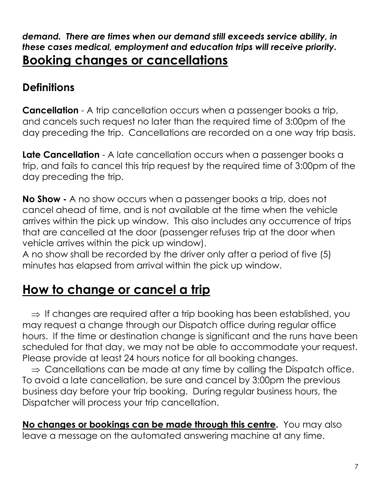#### *demand. There are times when our demand still exceeds service ability, in these cases medical, employment and education trips will receive priority.*  **Booking changes or cancellations**

### **Definitions**

**Cancellation** - A trip cancellation occurs when a passenger books a trip, and cancels such request no later than the required time of 3:00pm of the day preceding the trip. Cancellations are recorded on a one way trip basis.

**Late Cancellation** - A late cancellation occurs when a passenger books a trip, and fails to cancel this trip request by the required time of 3:00pm of the day preceding the trip.

**No Show -** A no show occurs when a passenger books a trip, does not cancel ahead of time, and is not available at the time when the vehicle arrives within the pick up window. This also includes any occurrence of trips that are cancelled at the door (passenger refuses trip at the door when vehicle arrives within the pick up window).

A no show shall be recorded by the driver only after a period of five (5) minutes has elapsed from arrival within the pick up window.

# **How to change or cancel a trip**

 $\Rightarrow$  If changes are required after a trip booking has been established, you may request a change through our Dispatch office during regular office hours. If the time or destination change is significant and the runs have been scheduled for that day, we may not be able to accommodate your request. Please provide at least 24 hours notice for all booking changes.

 $\Rightarrow$  Cancellations can be made at any time by calling the Dispatch office. To avoid a late cancellation, be sure and cancel by 3:00pm the previous business day before your trip booking. During regular business hours, the Dispatcher will process your trip cancellation.

**No changes or bookings can be made through this centre.** You may also leave a message on the automated answering machine at any time.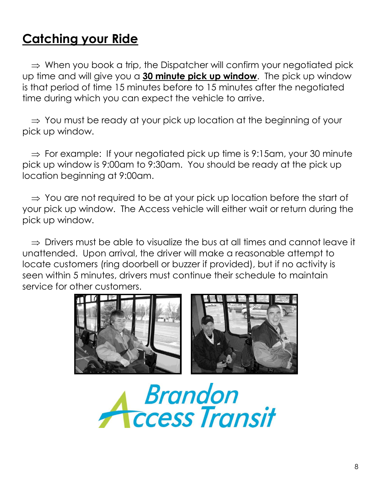# **Catching your Ride**

 $\Rightarrow$  When you book a trip, the Dispatcher will confirm your negotiated pick up time and will give you a **30 minute pick up window**. The pick up window is that period of time 15 minutes before to 15 minutes after the negotiated time during which you can expect the vehicle to arrive.

 $\Rightarrow$  You must be ready at your pick up location at the beginning of your pick up window.

 $\Rightarrow$  For example: If your negotiated pick up time is 9:15am, your 30 minute pick up window is 9:00am to 9:30am. You should be ready at the pick up location beginning at 9:00am.

 $\Rightarrow$  You are not required to be at your pick up location before the start of your pick up window. The Access vehicle will either wait or return during the pick up window.

 $\Rightarrow$  Drivers must be able to visualize the bus at all times and cannot leave it unattended. Upon arrival, the driver will make a reasonable attempt to locate customers (ring doorbell or buzzer if provided), but if no activity is seen within 5 minutes, drivers must continue their schedule to maintain service for other customers.



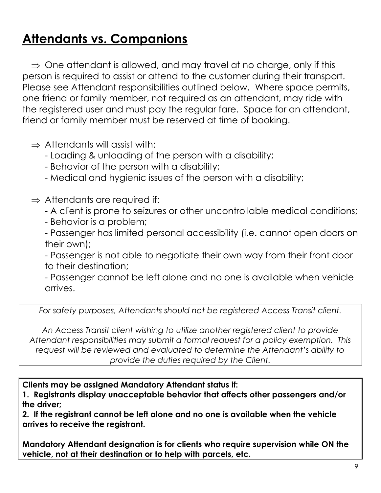# **Attendants vs. Companions**

 $\Rightarrow$  One attendant is allowed, and may travel at no charge, only if this person is required to assist or attend to the customer during their transport. Please see Attendant responsibilities outlined below. Where space permits, one friend or family member, not required as an attendant, may ride with the registered user and must pay the regular fare. Space for an attendant, friend or family member must be reserved at time of booking.

 $\Rightarrow$  Attendants will assist with:

- Loading & unloading of the person with a disability;

- Behavior of the person with a disability;

- Medical and hygienic issues of the person with a disability;

 $\Rightarrow$  Attendants are required if:

- A client is prone to seizures or other uncontrollable medical conditions;

- Behavior is a problem;

- Passenger has limited personal accessibility (i.e. cannot open doors on their own);

- Passenger is not able to negotiate their own way from their front door to their destination;

- Passenger cannot be left alone and no one is available when vehicle arrives.

*For safety purposes, Attendants should not be registered Access Transit client.*

*An Access Transit client wishing to utilize another registered client to provide Attendant responsibilities may submit a formal request for a policy exemption. This request will be reviewed and evaluated to determine the Attendant's ability to provide the duties required by the Client.*

**Clients may be assigned Mandatory Attendant status if:**

**1. Registrants display unacceptable behavior that affects other passengers and/or the driver;** 

**2. If the registrant cannot be left alone and no one is available when the vehicle arrives to receive the registrant.** 

**Mandatory Attendant designation is for clients who require supervision while ON the vehicle, not at their destination or to help with parcels, etc.**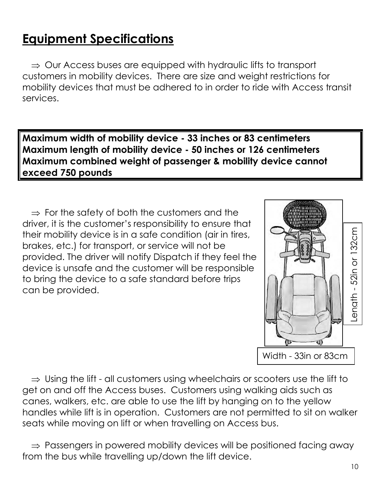# **Equipment Specifications**

 $\Rightarrow$  Our Access buses are equipped with hydraulic lifts to transport customers in mobility devices. There are size and weight restrictions for mobility devices that must be adhered to in order to ride with Access transit services.

**Maximum width of mobility device - 33 inches or 83 centimeters Maximum length of mobility device - 50 inches or 126 centimeters Maximum combined weight of passenger & mobility device cannot exceed 750 pounds**

 $\Rightarrow$  For the safety of both the customers and the driver, it is the customer's responsibility to ensure that their mobility device is in a safe condition (air in tires, brakes, etc.) for transport, or service will not be provided. The driver will notify Dispatch if they feel the device is unsafe and the customer will be responsible to bring the device to a safe standard before trips can be provided.



 $\Rightarrow$  Using the lift - all customers using wheelchairs or scooters use the lift to get on and off the Access buses. Customers using walking aids such as canes, walkers, etc. are able to use the lift by hanging on to the yellow handles while lift is in operation. Customers are not permitted to sit on walker seats while moving on lift or when travelling on Access bus.

 $\Rightarrow$  Passengers in powered mobility devices will be positioned facing away from the bus while travelling up/down the lift device.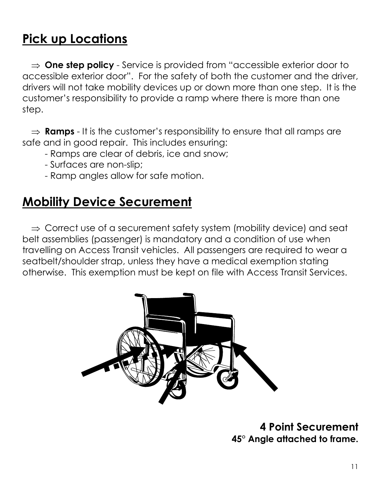# **Pick up Locations**

 $\Rightarrow$  **One step policy** - Service is provided from "accessible exterior door to accessible exterior door". For the safety of both the customer and the driver, drivers will not take mobility devices up or down more than one step. It is the customer's responsibility to provide a ramp where there is more than one step.

 $\Rightarrow$  **Ramps** - It is the customer's responsibility to ensure that all ramps are safe and in good repair. This includes ensuring:

- Ramps are clear of debris, ice and snow;
- Surfaces are non-slip;
- Ramp angles allow for safe motion.

## **Mobility Device Securement**

 $\Rightarrow$  Correct use of a securement safety system (mobility device) and seat belt assemblies (passenger) is mandatory and a condition of use when travelling on Access Transit vehicles. All passengers are required to wear a seatbelt/shoulder strap, unless they have a medical exemption stating otherwise. This exemption must be kept on file with Access Transit Services.



**4 Point Securement 45° Angle attached to frame.**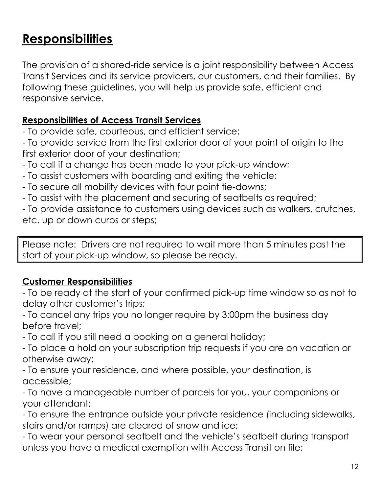# **Responsibilities**

The provision of a shared-ride service is a joint responsibility between Access Transit Services and its service providers, our customers, and their families. By following these guidelines, you will help us provide safe, efficient and responsive service.

#### **Responsibilities of Access Transit Services**

- To provide safe, courteous, and efficient service;

- To provide service from the first exterior door of your point of origin to the first exterior door of your destination;

- To call if a change has been made to your pick-up window;
- To assist customers with boarding and exiting the vehicle;
- To secure all mobility devices with four point tie-downs;
- To assist with the placement and securing of seatbelts as required;

- To provide assistance to customers using devices such as walkers, crutches, etc. up or down curbs or steps;

Please note: Drivers are not required to wait more than 5 minutes past the start of your pick-up window, so please be ready.

#### **Customer Responsibilities**

- To be ready at the start of your confirmed pick-up time window so as not to delay other customer's trips;

- To cancel any trips you no longer require by 3:00pm the business day before travel;

- To call if you still need a booking on a general holiday;

- To place a hold on your subscription trip requests if you are on vacation or otherwise away;

- To ensure your residence, and where possible, your destination, is accessible;

- To have a manageable number of parcels for you, your companions or your attendant;

- To ensure the entrance outside your private residence (including sidewalks, stairs and/or ramps) are cleared of snow and ice;

- To wear your personal seatbelt and the vehicle's seatbelt during transport unless you have a medical exemption with Access Transit on file;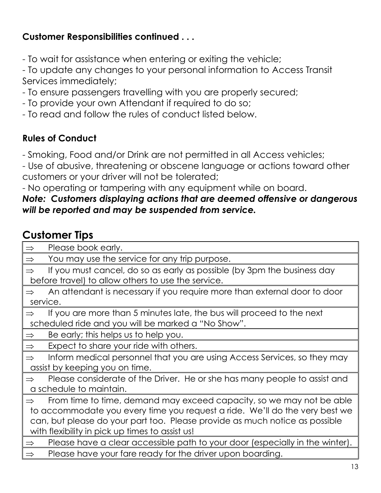#### **Customer Responsibilities continued . . .**

- To wait for assistance when entering or exiting the vehicle;

- To update any changes to your personal information to Access Transit Services immediately;

- To ensure passengers travelling with you are properly secured;
- To provide your own Attendant if required to do so;
- To read and follow the rules of conduct listed below.

#### **Rules of Conduct**

- Smoking, Food and/or Drink are not permitted in all Access vehicles;

- Use of abusive, threatening or obscene language or actions toward other customers or your driver will not be tolerated;

- No operating or tampering with any equipment while on board.

#### *Note: Customers displaying actions that are deemed offensive or dangerous will be reported and may be suspended from service.*

#### **Customer Tips**

| Please book early.<br>$\Rightarrow$                                                           |  |  |
|-----------------------------------------------------------------------------------------------|--|--|
| You may use the service for any trip purpose.<br>$\Rightarrow$                                |  |  |
| If you must cancel, do so as early as possible (by 3pm the business day<br>$\Rightarrow$      |  |  |
| before travel) to allow others to use the service.                                            |  |  |
| An attendant is necessary if you require more than external door to door<br>$\Rightarrow$     |  |  |
| service.                                                                                      |  |  |
| If you are more than 5 minutes late, the bus will proceed to the next<br>$\Rightarrow$        |  |  |
| scheduled ride and you will be marked a "No Show".                                            |  |  |
| Be early; this helps us to help you.<br>$\Rightarrow$                                         |  |  |
| Expect to share your ride with others.<br>$\Rightarrow$                                       |  |  |
| Inform medical personnel that you are using Access Services, so they may<br>$\Rightarrow$     |  |  |
| assist by keeping you on time.                                                                |  |  |
| Please considerate of the Driver. He or she has many people to assist and<br>$\Rightarrow$    |  |  |
| a schedule to maintain.                                                                       |  |  |
| From time to time, demand may exceed capacity, so we may not be able<br>$\Rightarrow$         |  |  |
| to accommodate you every time you request a ride. We'll do the very best we                   |  |  |
| can, but please do your part too. Please provide as much notice as possible                   |  |  |
| with flexibility in pick up times to assist us!                                               |  |  |
| Please have a clear accessible path to your door (especially in the winter).<br>$\Rightarrow$ |  |  |
| Please have your fare ready for the driver upon boarding.<br>$\Rightarrow$                    |  |  |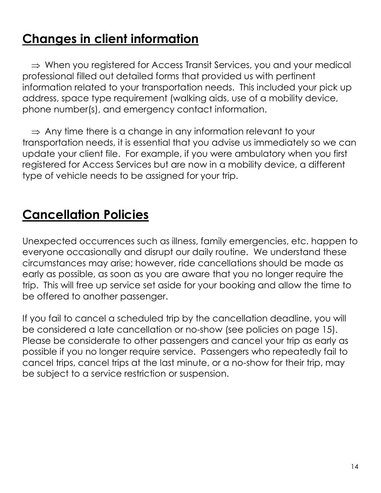# **Changes in client information**

 $\Rightarrow$  When you registered for Access Transit Services, you and your medical professional filled out detailed forms that provided us with pertinent information related to your transportation needs. This included your pick up address, space type requirement (walking aids, use of a mobility device, phone number(s), and emergency contact information.

 $\Rightarrow$  Any time there is a change in any information relevant to your transportation needs, it is essential that you advise us immediately so we can update your client file. For example, if you were ambulatory when you first registered for Access Services but are now in a mobility device, a different type of vehicle needs to be assigned for your trip.

# **Cancellation Policies**

Unexpected occurrences such as illness, family emergencies, etc. happen to everyone occasionally and disrupt our daily routine. We understand these circumstances may arise; however, ride cancellations should be made as early as possible, as soon as you are aware that you no longer require the trip. This will free up service set aside for your booking and allow the time to be offered to another passenger.

If you fail to cancel a scheduled trip by the cancellation deadline, you will be considered a late cancellation or no-show (see policies on page 15). Please be considerate to other passengers and cancel your trip as early as possible if you no longer require service. Passengers who repeatedly fail to cancel trips, cancel trips at the last minute, or a no-show for their trip, may be subject to a service restriction or suspension.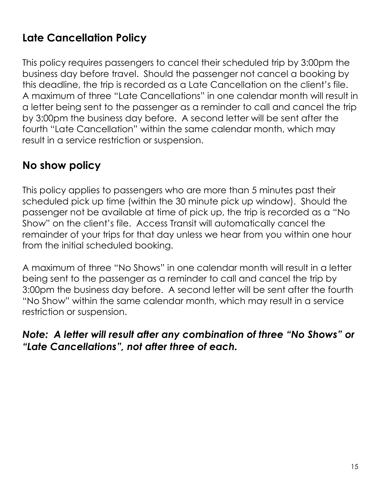### **Late Cancellation Policy**

This policy requires passengers to cancel their scheduled trip by 3:00pm the business day before travel. Should the passenger not cancel a booking by this deadline, the trip is recorded as a Late Cancellation on the client's file. A maximum of three "Late Cancellations" in one calendar month will result in a letter being sent to the passenger as a reminder to call and cancel the trip by 3:00pm the business day before. A second letter will be sent after the fourth "Late Cancellation" within the same calendar month, which may result in a service restriction or suspension.

#### **No show policy**

This policy applies to passengers who are more than 5 minutes past their scheduled pick up time (within the 30 minute pick up window). Should the passenger not be available at time of pick up, the trip is recorded as a "No Show" on the client's file. Access Transit will automatically cancel the remainder of your trips for that day unless we hear from you within one hour from the initial scheduled booking.

A maximum of three "No Shows" in one calendar month will result in a letter being sent to the passenger as a reminder to call and cancel the trip by 3:00pm the business day before. A second letter will be sent after the fourth "No Show" within the same calendar month, which may result in a service restriction or suspension.

#### *Note: A letter will result after any combination of three "No Shows" or "Late Cancellations", not after three of each.*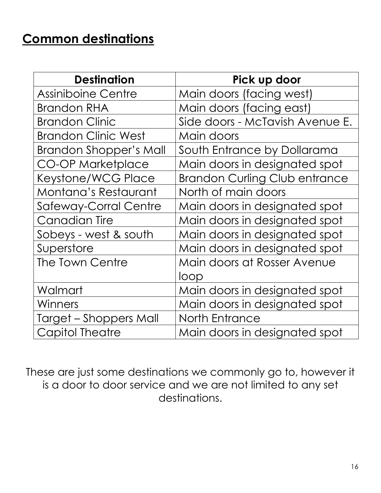# **Common destinations**

| <b>Destination</b>            | Pick up door                         |
|-------------------------------|--------------------------------------|
| <b>Assiniboine Centre</b>     | Main doors (facing west)             |
| <b>Brandon RHA</b>            | Main doors (facing east)             |
| <b>Brandon Clinic</b>         | Side doors - McTavish Avenue E.      |
| <b>Brandon Clinic West</b>    | Main doors                           |
| <b>Brandon Shopper's Mall</b> | South Entrance by Dollarama          |
| <b>CO-OP Marketplace</b>      | Main doors in designated spot        |
| Keystone/WCG Place            | <b>Brandon Curling Club entrance</b> |
| Montana's Restaurant          | North of main doors                  |
| Safeway-Corral Centre         | Main doors in designated spot        |
| <b>Canadian Tire</b>          | Main doors in designated spot        |
| Sobeys - west & south         | Main doors in designated spot        |
| Superstore                    | Main doors in designated spot        |
| The Town Centre               | Main doors at Rosser Avenue          |
|                               | loop                                 |
| Walmart                       | Main doors in designated spot        |
| Winners                       | Main doors in designated spot        |
| Target – Shoppers Mall        | <b>North Entrance</b>                |
| <b>Capitol Theatre</b>        | Main doors in designated spot        |

These are just some destinations we commonly go to, however it is a door to door service and we are not limited to any set destinations.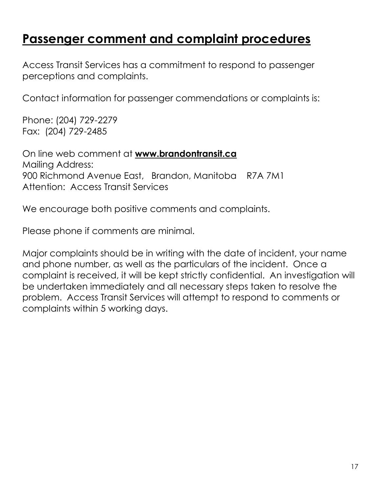### **Passenger comment and complaint procedures**

Access Transit Services has a commitment to respond to passenger perceptions and complaints.

Contact information for passenger commendations or complaints is:

Phone: (204) 729-2279 Fax: (204) 729-2485

On line web comment at **[www.brandontransit.ca](http://www.brandontransit.ca/)** Mailing Address: 900 Richmond Avenue East, Brandon, Manitoba R7A 7M1 Attention: Access Transit Services

We encourage both positive comments and complaints.

Please phone if comments are minimal.

Major complaints should be in writing with the date of incident, your name and phone number, as well as the particulars of the incident. Once a complaint is received, it will be kept strictly confidential. An investigation will be undertaken immediately and all necessary steps taken to resolve the problem. Access Transit Services will attempt to respond to comments or complaints within 5 working days.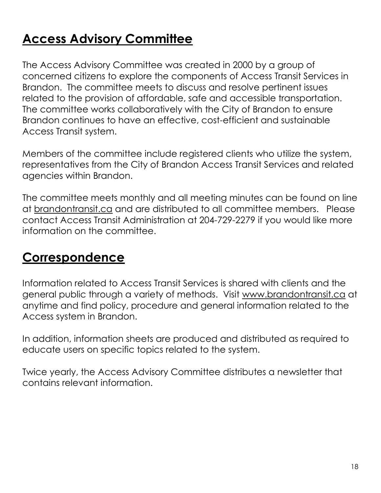# **Access Advisory Committee**

The Access Advisory Committee was created in 2000 by a group of concerned citizens to explore the components of Access Transit Services in Brandon. The committee meets to discuss and resolve pertinent issues related to the provision of affordable, safe and accessible transportation. The committee works collaboratively with the City of Brandon to ensure Brandon continues to have an effective, cost-efficient and sustainable Access Transit system.

Members of the committee include registered clients who utilize the system, representatives from the City of Brandon Access Transit Services and related agencies within Brandon.

The committee meets monthly and all meeting minutes can be found on line at<brandontransit.ca> and are distributed to all committee members. Please contact Access Transit Administration at 204-729-2279 if you would like more information on the committee.

## **Correspondence**

Information related to Access Transit Services is shared with clients and the general public through a variety of methods. Visit [www.brandontransit.ca](http://www.brandontransit.ca/) at anytime and find policy, procedure and general information related to the Access system in Brandon.

In addition, information sheets are produced and distributed as required to educate users on specific topics related to the system.

Twice yearly, the Access Advisory Committee distributes a newsletter that contains relevant information.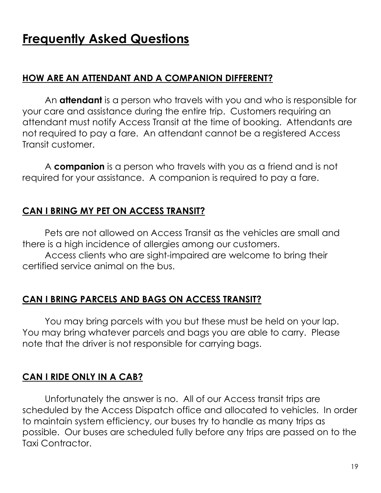# **Frequently Asked Questions**

#### **HOW ARE AN ATTENDANT AND A COMPANION DIFFERENT?**

An **attendant** is a person who travels with you and who is responsible for your care and assistance during the entire trip. Customers requiring an attendant must notify Access Transit at the time of booking. Attendants are not required to pay a fare. An attendant cannot be a registered Access Transit customer.

A **companion** is a person who travels with you as a friend and is not required for your assistance. A companion is required to pay a fare.

#### **CAN I BRING MY PET ON ACCESS TRANSIT?**

Pets are not allowed on Access Transit as the vehicles are small and there is a high incidence of allergies among our customers. Access clients who are sight-impaired are welcome to bring their certified service animal on the bus.

#### **CAN I BRING PARCELS AND BAGS ON ACCESS TRANSIT?**

You may bring parcels with you but these must be held on your lap. You may bring whatever parcels and bags you are able to carry. Please note that the driver is not responsible for carrying bags.

#### **CAN I RIDE ONLY IN A CAB?**

Unfortunately the answer is no. All of our Access transit trips are scheduled by the Access Dispatch office and allocated to vehicles. In order to maintain system efficiency, our buses try to handle as many trips as possible. Our buses are scheduled fully before any trips are passed on to the Taxi Contractor.